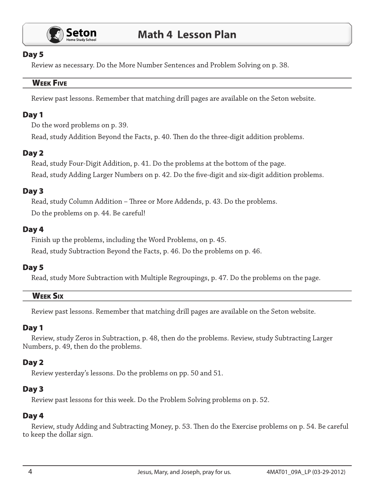

### Day 5

Review as necessary. Do the More Number Sentences and Problem Solving on p. 38.

#### **WEEK FIVE**

Review past lessons. Remember that matching drill pages are available on the Seton website.

# Day 1

Do the word problems on p. 39.

Read, study Addition Beyond the Facts, p. 40. Then do the three-digit addition problems.

# Day 2

Read, study Four-Digit Addition, p. 41. Do the problems at the bottom of the page. Read, study Adding Larger Numbers on p. 42. Do the five-digit and six-digit addition problems.

# Day 3

Read, study Column Addition - Three or More Addends, p. 43. Do the problems. Do the problems on p. 44. Be careful!

# Day 4

Finish up the problems, including the Word Problems, on p. 45.

Read, study Subtraction Beyond the Facts, p. 46. Do the problems on p. 46.

# Day 5

Read, study More Subtraction with Multiple Regroupings, p. 47. Do the problems on the page.

# **WEEK SIX**

Review past lessons. Remember that matching drill pages are available on the Seton website.

# Day 1

Review, study Zeros in Subtraction, p. 48, then do the problems. Review, study Subtracting Larger Numbers, p. 49, then do the problems.

# Day 2

Review yesterday's lessons. Do the problems on pp. 50 and 51.

# Day 3

Review past lessons for this week. Do the Problem Solving problems on p. 52.

# Day 4

Review, study Adding and Subtracting Money, p. 53. Then do the Exercise problems on p. 54. Be careful to keep the dollar sign.